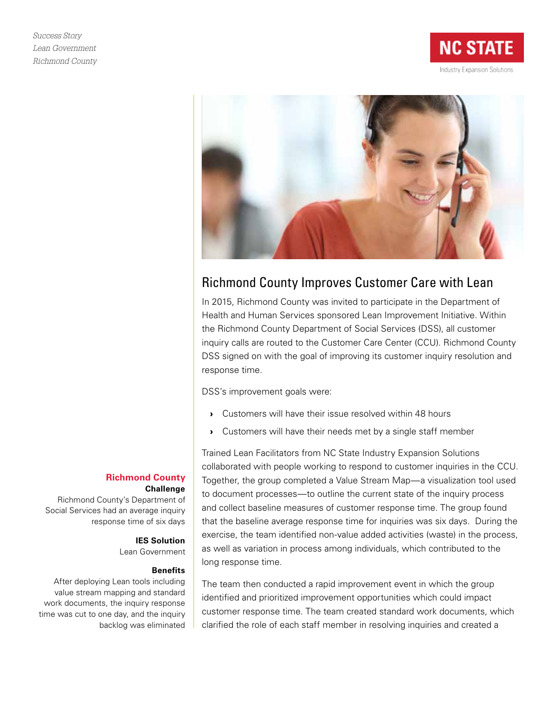



# Richmond County Improves Customer Care with Lean

In 2015, Richmond County was invited to participate in the Department of Health and Human Services sponsored Lean Improvement Initiative. Within the Richmond County Department of Social Services (DSS), all customer inquiry calls are routed to the Customer Care Center (CCU). Richmond County DSS signed on with the goal of improving its customer inquiry resolution and response time.

DSS's improvement goals were:

- › Customers will have their issue resolved within 48 hours
- › Customers will have their needs met by a single staff member

Trained Lean Facilitators from NC State Industry Expansion Solutions collaborated with people working to respond to customer inquiries in the CCU. Together, the group completed a Value Stream Map—a visualization tool used to document processes—to outline the current state of the inquiry process and collect baseline measures of customer response time. The group found that the baseline average response time for inquiries was six days. During the exercise, the team identified non-value added activities (waste) in the process, as well as variation in process among individuals, which contributed to the long response time.

The team then conducted a rapid improvement event in which the group identified and prioritized improvement opportunities which could impact customer response time. The team created standard work documents, which clarified the role of each staff member in resolving inquiries and created a

### **Richmond County Challenge**

Richmond County's Department of Social Services had an average inquiry response time of six days

### **IES Solution**

Lean Government

### **Benefits**

After deploying Lean tools including value stream mapping and standard work documents, the inquiry response time was cut to one day, and the inquiry backlog was eliminated